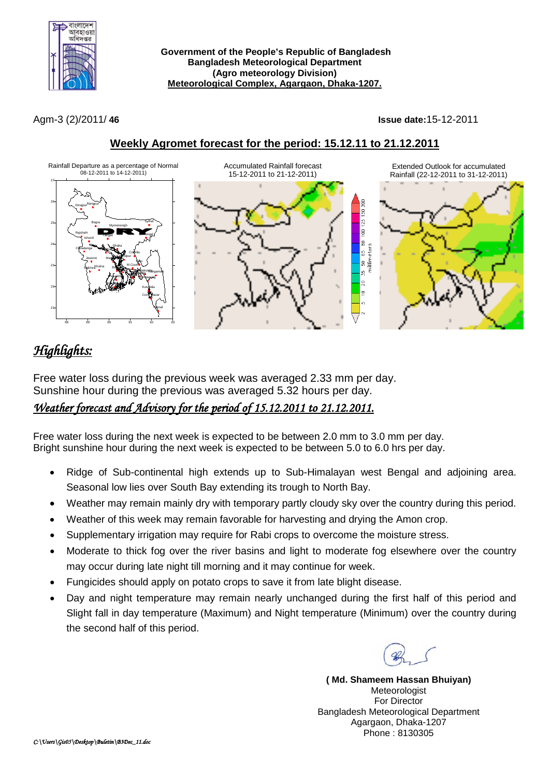

**Government of the People's Republic of Bangladesh Bangladesh Meteorological Department (Agro meteorology Division) Meteorological Complex, Agargaon, Dhaka-1207.**

Agm-3 (2)/2011/ **46 Issue date:**15-12-2011



## **Weekly Agromet forecast for the period: 15.12.11 to 21.12.2011**

# *Highlights:*

Free water loss during the previous week was averaged 2.33 mm per day. Sunshine hour during the previous was averaged 5.32 hours per day.

### *Weather forecast and Advisory for the period of 15.12.2011 to 21.12.2011.*

Free water loss during the next week is expected to be between 2.0 mm to 3.0 mm per day. Bright sunshine hour during the next week is expected to be between 5.0 to 6.0 hrs per day.

- Ridge of Sub-continental high extends up to Sub-Himalayan west Bengal and adjoining area. Seasonal low lies over South Bay extending its trough to North Bay.
- Weather may remain mainly dry with temporary partly cloudy sky over the country during this period.
- Weather of this week may remain favorable for harvesting and drying the Amon crop.
- Supplementary irrigation may require for Rabi crops to overcome the moisture stress.
- Moderate to thick fog over the river basins and light to moderate fog elsewhere over the country may occur during late night till morning and it may continue for week.
- Fungicides should apply on potato crops to save it from late blight disease.
- Day and night temperature may remain nearly unchanged during the first half of this period and Slight fall in day temperature (Maximum) and Night temperature (Minimum) over the country during the second half of this period.

**( Md. Shameem Hassan Bhuiyan)** Meteorologist For Director Bangladesh Meteorological Department Agargaon, Dhaka-1207 Phone : 8130305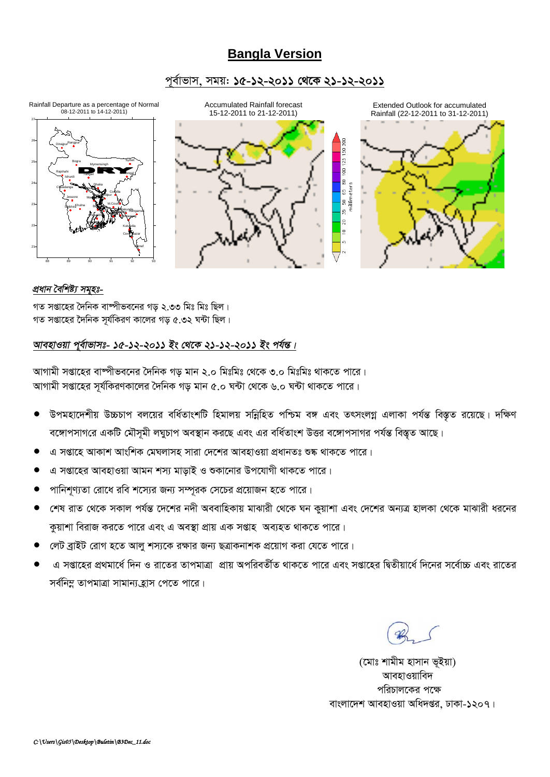## **Bangla Version**

### *c~e©vfvm, mgq: 15-12-2011 †\_‡K 21-12-2011*



#### *প্ৰধান বৈশিষ্ট্য সমৃহঃ-*

গত সপ্তাহের দৈনিক বাম্পীভবনের গড় ২.৩৩ মিঃ মিঃ ছিল।  $\frac{1}{2}$ সপ্তাহের দৈনিক সর্যকিরণ কালের গড় ৫.৩২ ঘন্টা ছিল।

### *আবহাওয়া পূৰ্বাভাসঃ- ১৫-১২-২০১১ ইং থেকে ২১-১২-২০১১ ইং পৰ্যন্ত।*

*AvMvgx mßv‡ni ev®úxfe‡bi ˆ`wbK Mo gvb 2.0 wgtwgt †\_‡K 3.0 wgtwgt \_vK‡Z cv‡i|* স্মাগামী সপ্তাহের সূর্যকিরণকালের দৈনিক গড় মান ৫.০ ঘন্টা থেকে ৬.০ ঘন্টা থাকতে পারে।

- উপমহাদেশীয় উচ্চচাপ বলয়ের বর্ধিতাংশটি হিমালয় সন্নিহিত পশ্চিম বঙ্গ এবং তৎসংলগ্ন এলাকা পর্যন্ত বিস্তৃত রয়েছে। দক্ষিণ *বঙ্গো*পসাগরে একটি মৌসূমী লঘুচাপ অবস্থান করছে এবং এর বর্ধিতাংশ উত্তর বঙ্গোপসাগর পর্যন্ত বিস্তৃত আছে।
- *G mßv‡n AvKvk AvswkK †gNjvmn mviv †`‡ki AvenvIqv cÖavbZt ﮋ \_vK‡Z cv‡i|*
- *G mßv‡ni AvenvIqv Avgb km¨ gvovB I ïKv‡bvi Dc‡hvMx \_vK‡Z cv‡i|*
- <u>পানিশণ্যতা রোধে রবি শস্যের জন্য সম্পূরক সেচের প্রয়োজন হতে পারে।</u>
- *শে*ষ রাত থেকে সকাল পর্যন্ত দেশের নদী অববাহিকায় মাঝারী থেকে ঘন কুয়াশা এবং দেশের অন্যত্র হালকা থেকে মাঝারী ধরনের *কু*য়াশা বিরাজ করতে পারে এবং এ অবস্থা প্রায় এক সপ্তাহ অব্যহত থাকতে পারে।
- *†jU eªvBU †ivM n‡Z Avjy km¨‡K iÿvi Rb¨ QÎvKbvkK cÖ‡qvM Kiv †h‡Z cv‡i|*
- *G mßv‡ni cÖ\_gv‡a© w`b I iv‡Zi ZvcgvÎv cÖvq AcwieZx©Z \_vK‡Z cv‡i Ges mßv‡ni wØZxqv‡a© w`‡bi m‡e©v"P Ges iv‡Zi*  সৰ্বনিম্ন তাপমাত্ৰা সামান্য হ্ৰাস পেতে পারে।

*(*মোঃ শামীম হাসান ভূইয়া) **আবহাওয়াবিদ** পরিচালকের পক্ষে বাংলাদেশ আবহাওয়া অধিদপ্তর, ঢাকা-১২০৭।